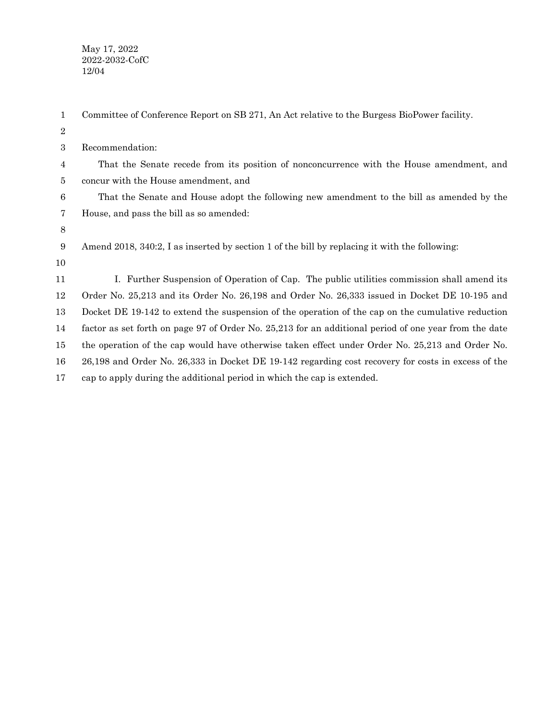May 17, 2022 2022-2032-CofC 12/04

| $\mathbf{1}$     | Committee of Conference Report on SB 271, An Act relative to the Burgess BioPower facility.           |
|------------------|-------------------------------------------------------------------------------------------------------|
| $\boldsymbol{2}$ |                                                                                                       |
| 3                | Recommendation:                                                                                       |
| 4                | That the Senate recede from its position of nonconcurrence with the House amendment, and              |
| 5                | concur with the House amendment, and                                                                  |
| 6                | That the Senate and House adopt the following new amendment to the bill as amended by the             |
| 7                | House, and pass the bill as so amended:                                                               |
| $8\,$            |                                                                                                       |
| 9                | Amend 2018, 340:2, I as inserted by section 1 of the bill by replacing it with the following:         |
| 10               |                                                                                                       |
| 11               | I. Further Suspension of Operation of Cap. The public utilities commission shall amend its            |
| 12               | Order No. 25,213 and its Order No. 26,198 and Order No. 26,333 issued in Docket DE 10-195 and         |
| 13               | Docket DE 19-142 to extend the suspension of the operation of the cap on the cumulative reduction     |
| 14               | factor as set forth on page 97 of Order No. 25,213 for an additional period of one year from the date |
| 15               | the operation of the cap would have otherwise taken effect under Order No. 25,213 and Order No.       |
| 16               | 26,198 and Order No. 26,333 in Docket DE 19-142 regarding cost recovery for costs in excess of the    |
| 17               | cap to apply during the additional period in which the cap is extended.                               |